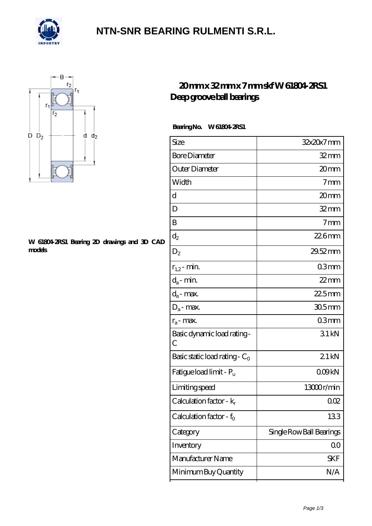

## **[NTN-SNR BEARING RULMENTI S.R.L.](https://m.confidencemenimprov.com)**



#### **[W 61804-2RS1 Bearing 2D drawings and 3D CAD](https://m.confidencemenimprov.com/pic-64974263.html) [models](https://m.confidencemenimprov.com/pic-64974263.html)**

### **[20 mm x 32 mm x 7 mm skf W 61804-2RS1](https://m.confidencemenimprov.com/by-64974263-skf-w-61804-2rs1-deep-groove-ball-bearings.html) [Deep groove ball bearings](https://m.confidencemenimprov.com/by-64974263-skf-w-61804-2rs1-deep-groove-ball-bearings.html)**

 **Bearing No. W 61804-2RS1**

| 32x20x7mm                |
|--------------------------|
| $32 \text{mm}$           |
| 20mm                     |
| 7 <sub>mm</sub>          |
| 20mm                     |
| $32$ mm                  |
| $7 \text{mm}$            |
| $226$ mm                 |
| 29.52 mm                 |
| 03mm                     |
| $22$ mm                  |
| $225$ mm                 |
| $305$ mm                 |
| 03mm                     |
| 31kN                     |
| 21kN                     |
| 009kN                    |
| 13000r/min               |
| QŒ                       |
| 133                      |
| Single Row Ball Bearings |
| 00                       |
| SKF                      |
| N/A                      |
|                          |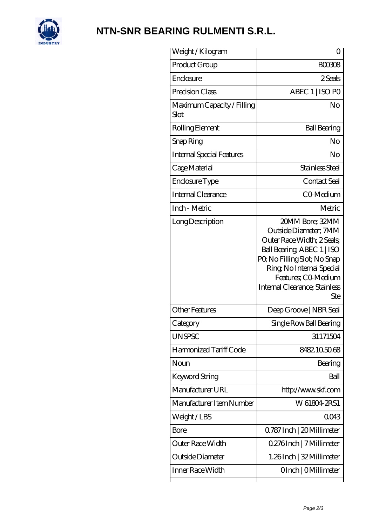

# **[NTN-SNR BEARING RULMENTI S.R.L.](https://m.confidencemenimprov.com)**

| Weight /Kilogram                   | Ω                                                                                                                                                                                                                               |
|------------------------------------|---------------------------------------------------------------------------------------------------------------------------------------------------------------------------------------------------------------------------------|
| Product Group                      | BOO3O8                                                                                                                                                                                                                          |
| Enclosure                          | 2 Seals                                                                                                                                                                                                                         |
| Precision Class                    | ABEC 1   ISO PO                                                                                                                                                                                                                 |
| Maximum Capacity / Filling<br>Slot | No                                                                                                                                                                                                                              |
| Rolling Element                    | <b>Ball Bearing</b>                                                                                                                                                                                                             |
| Snap Ring                          | No                                                                                                                                                                                                                              |
| <b>Internal Special Features</b>   | No                                                                                                                                                                                                                              |
| Cage Material                      | Stainless Steel                                                                                                                                                                                                                 |
| Enclosure Type                     | Contact Seal                                                                                                                                                                                                                    |
| Internal Clearance                 | CO-Medium                                                                                                                                                                                                                       |
| Inch - Metric                      | Metric                                                                                                                                                                                                                          |
| Long Description                   | 20MM Bore; 32MM<br>Outside Diameter; 7MM<br>Outer Race Width; 2 Seals;<br>Ball Bearing, ABEC 1   ISO<br>PQ No Filling Slot; No Snap<br>Ring, No Internal Special<br>Features; CO Medium<br>Internal Clearance; Stainless<br>Ste |
| <b>Other Features</b>              | Deep Groove   NBR Seal                                                                                                                                                                                                          |
| Category                           | Single Row Ball Bearing                                                                                                                                                                                                         |
| <b>UNSPSC</b>                      | 31171504                                                                                                                                                                                                                        |
| Harmonized Tariff Code             | 8482.105068                                                                                                                                                                                                                     |
| Noun                               | Bearing                                                                                                                                                                                                                         |
| Keyword String                     | Ball                                                                                                                                                                                                                            |
| Manufacturer URL                   | http://www.skf.com                                                                                                                                                                                                              |
| Manufacturer Item Number           | W 61804 2RS1                                                                                                                                                                                                                    |
| Weight/LBS                         | 0043                                                                                                                                                                                                                            |
| Bore                               | 0.787 Inch   20 Millimeter                                                                                                                                                                                                      |
| Outer Race Width                   | 0.276Inch   7 Millimeter                                                                                                                                                                                                        |
| Outside Diameter                   | 1.26Inch   32 Millimeter                                                                                                                                                                                                        |
| Inner Race Width                   | OInch   OMillimeter                                                                                                                                                                                                             |
|                                    |                                                                                                                                                                                                                                 |